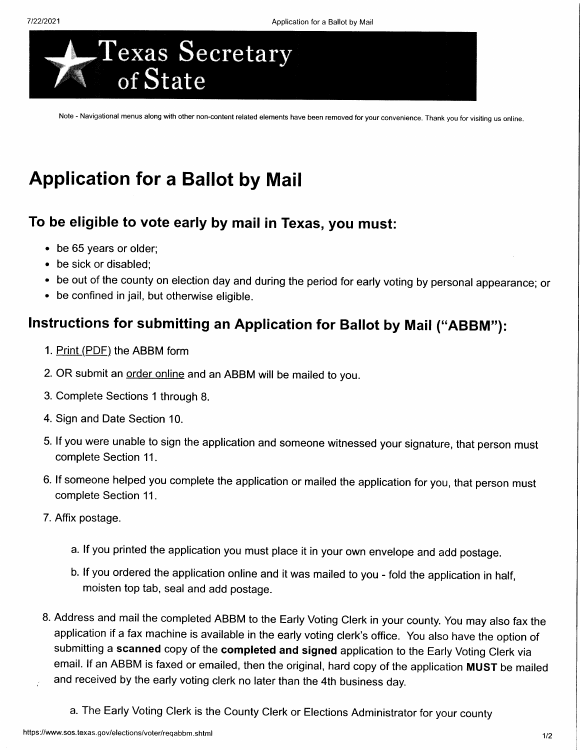

Note - Navigational menus along with other non-content related elements have been removed for your convenience. Thank you for visiting us online.

## Application for a Ballot by Mail

## To be eligible to vote early by mail in Texas, you must:

- . be 65 years or older;
- . be sick or disabled;
- be out of the county on election day and during the period for early voting by personal appearance; or
- . be confined in jail, but otherwise eligible.

## lnstructions for submitting an Application for Ballot by Mail ("ABBM"):

- 1. Print (PDF) the ABBM form
- 2. OR submit an order online and an ABBM will be mailed to you.
- 3. Complete Sections 1 through 8.
- 4. Sign and Date Section 10.
- 5. lf you were unable to sign the application and someone witnessed your signature, that person must complete Section 11.
- 6. lf someone helped you complete the application or mailed the application for you, that person must complete Section 11 .
- 7. Affix postage.
	- a. lf you printed the application you must place it in your own envelope and add postage.
	- b. lf you ordered the application online and it was mailed to you fold the application in half, moisten top tab, seal and add postage.
- 8. Address and mail the completed ABBM to the Early Voting Clerk in your county. You may also fax the application if a fax machine is available in the early voting clerk's office. You also have the option of submitting a scanned copy of the completed and signed application to the Early Voting Clerk via email. lf an ABBM is faxed or emailed, then the original, hard copy of the application MUST be mailed and received by the early voting clerk no later than the 4th business day.
	- a. The Early Voting Clerk is the County Clerk or Elections Administrator for your county